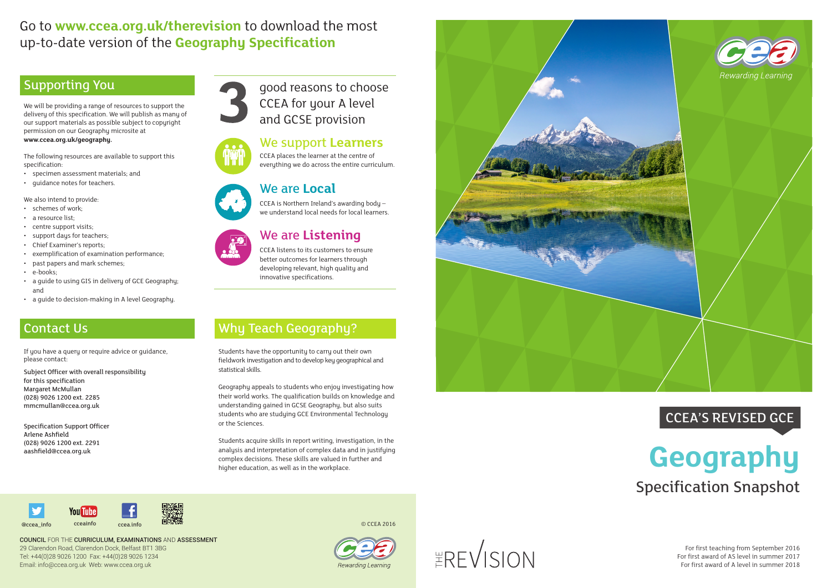# Go to **www.ccea.org.uk/therevision** to download the most up-to-date version of the **Geography Specification**

## Supporting You

We will be providing a range of resources to support the delivery of this specification. We will publish as many of our support materials as possible subject to copyright permission on our Geography microsite at **www.ccea.org.uk/geography.** 

The following resources are available to support this specification:

- specimen assessment materials; and
- guidance notes for teachers.

We also intend to provide:

- schemes of work;
- a resource list;
- centre support visits;
- support days for teachers;
- Chief Examiner's reports;
- exemplification of examination performance;
- past papers and mark schemes;<br>• e-books:
- 
- a guide to using GIS in delivery of GCE Geography; and
- a guide to decision-making in A level Geography.



Students acquire skills in report writing, investigation, in the analysis and interpretation of complex data and in justifying complex decisions. These skills are valued in further and analysis and interpretation of complex data and in justifying<br>complex decisions. These skills are valued in further and<br>higher education, as well as in the workplace.



# Contact Us

If you have a query or require advice or guidance, please contact:

Subject Officer with overall responsibility for this specification Margaret McMullan (028) 9026 1200 ext. 2285 mmcmullan@ccea.org.uk

Specification Support Officer Arlene Ashfield (028) 9026 1200 ext. 2291 aashfield@ccea.org.uk

# Why Teach Geography?

Students have the opportunity to carry out their own fieldwork investigation and to develop key geographical and statistical skills.

> For first teaching from September 2016 For first award of AS level in summer 2017 For first award of A level in summer 2018

Geography appeals to students who enjoy investigating how their world works. The qualification builds on knowledge and understanding gained in GCSE Geography, but also suits students who are studying GCE Environmental Technology or the Sciences.

COUNCIL FOR THE CURRICULUM, EXAMINATIONS AND ASSESSMENT 29 Clarendon Road, Clarendon Dock, Belfast BT1 3BG Tel: +44(0)28 9026 1200 Fax: +44(0)28 9026 1234 Email: info@ccea.org.uk Web: www.ccea.org.uk



#### We support **Learners**

CCEA places the learner at the centre of everything we do across the entire curriculum.

# Specification Snapshot CCEA'S REVISED GCE

#### We are **Local** CCEA is Northern Ireland's awarding body – we understand local needs for local learners.



#### We are **Listening** CCEA listens to its customers to ensure

better outcomes for learners through developing relevant, high quality and innovative specifications.

good reasons to choose CCEA for your A level and GCSE provision

© CCEA 2016